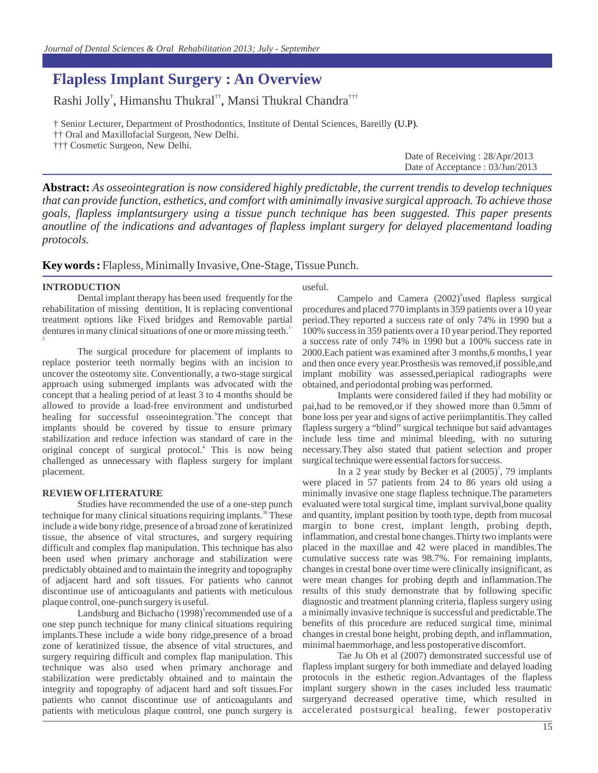# urnal of Dental Sciences & Oral Rehabilitation 2013; July - September<br>**Flapless Implant Surgery : An Overview**<br>Rashi Jolly<sup>†</sup>, Himanshu Thukral<sup>††</sup>, Mansi Thukral Chandra<sup>†††</sup><br>† Senior Lecturer, Department of Prosthodontic **Flapless Implant Surgery: An Overview**<br>Rashi Jolly<sup>†</sup>, Himanshu Thukral<sup>††</sup>, Mansi Thukral Chandra<sup>†††</sup><br>† Senior Lecturer, Department of Prosthodontics, Institute of Dental Sciences, Bareilly (U.P).<br>†† Oral and Maxillofac **Flapless Implant Surgery : An Overview**

, Himanshu Thukral<sup>††</sup>, Mar

<sup>†</sup> Senior Lecturer, Department of Prosthodontics, Institute of Dental Sciences, Bareilly (U.P).

†† Oral and Maxillofacial Surgeon, New Delhi.

††† Cosmetic Surgeon, New Delhi.

Date of Receiving : 28/Apr/2013 Date of Acceptance : 03/Jun/2013

**Abstract:** *As osseointegration is now considered highly predictable, the current trendis to develop techniques that can provide function, esthetics, and comfort with aminimally invasive surgical approach. To achieve those goals, flapless implantsurgery using a tissue punch technique has been suggested. This paper presents anoutline of the indications and advantages of flapless implant surgery for delayed placementand loading protocols.*

#### **Key words :** Flapless, Minimally Invasive, One-Stage, Tissue Punch.

#### **INTRODUCTION**

Dental implant therapy has been used frequently for the rehabilitation of missing dentition, It is replacing conventional treatment options like Fixed bridges and Removable partial dentures in many clinical situations of one or more missing teeth.<sup>1-1</sup> 2

The surgical procedure for placement of implants to replace posterior teeth normally begins with an incision to uncover the osteotomy site. Conventionally, a two-stage surgical approach using submerged implants was advocated with the concept that a healing period of at least 3 to 4 months should be allowed to provide a load-free environment and undisturbed replace posterior teeth normally begins with an incision to an uncover the osteotomy site. Conventionally, a two-stage surgical im approach using submerged implants was advocated with the obsconcept that a healing period o implants should be covered by tissue to ensure primary stabilization and reduce infection was standard of care in the concept that a healing period of at least 3 to 4 months should be<br>allowed to provide a load-free environment and undisturbed pai, had<br>healing for successful osseointegration.<sup>3</sup>The concept that bone lo<br>implants should be c challenged as unnecessary with flapless surgery for implant placement. healing for successful osseointegration.<sup>3</sup>The concept that  $^{4}$  TPL

#### **REVIEW OF LITERATURE**

Studies have recommended the use of a one-step punch the challenged as unnecessary with flapless surgery for implant surgica<br>placement.<br>**REVIEWOFLITERATURE** minim<br>Studies have recommended the use of a one-step punch evalua<br>technique for many clinical situations requiring imp tissue, the absence of vital structures, and surgery requiring difficult and complex flap manipulation. This technique has also been used when primary anchorage and stabilization were predictably obtained and to maintain the integrity and topography of adjacent hard and soft tissues. For patients who cannot discontinue use of anticoagulants and patients with meticulous resul plaque control, one-punch surgery is useful. Example and stabilization were cumuly obtained and to maintain the integrity and topography changent hard and soft tissues. For patients who cannot were use of anticoagulants and patients with meticulous result ontrol, one technique for many clinical situations requiring implants.<sup>30</sup> These

one step punch technique for many clinical situations requiring implants.These include a wide bony ridge,presence of a broad zone of keratinized tissue, the absence of vital structures, and surgery requiring difficult and complex flap manipulation. This technique was also used when primary anchorage and stabilization were predictably obtained and to maintain the integrity and topography of adjacent hard and soft tissues.For patients who cannot discontinue use of anticoagulants and patients with meticulous plaque control, one punch surgery is Landsburg and Bichacho (1998)<sup>5</sup> recommended use of a

#### useful.

issue Punch.<br>
useful.<br>
Campelo and Camera (2002)<sup>6</sup>used flapless surgical<br>
procedures and placed 770 implants in 359 patients over a 10 year<br>
relief The 1200 by period.They reported a success rate of only 74% in 1990 but a 100% success in 359 patients over a 10 year period.They reported a success rate of only 74% in 1990 but a 100% success rate in 2000.Each patient was examined after 3 months,6 months,1 year and then once every year.Prosthesis was removed,if possible,and implant mobility was assessed,periapical radiographs were obtained, and periodontal probing was performed. Campelo and Camera  $(2002)$ <sup>o</sup>used flapless surgical

Implants were considered failed if they had mobility or pai,had to be removed,or if they showed more than 0.5mm of bone loss per year and signs of active periimplantitis.They called flapless surgery a "blind" surgical technique but said advantages include less time and minimal bleeding, with no suturing necessary.They also stated that patient selection and proper surgical technique were essential factors for success. per year and signs of active periimplantitis. They called<br>urgery a "blind" surgical technique but said advantages<br>less time and minimal bleeding, with no suturing<br>v.They also stated that patient selection and proper<br>echniq

were placed in 57 patients from 24 to 86 years old using a minimally invasive one stage flapless technique.The parameters evaluated were total surgical time, implant survival,bone quality and quantity, implant position by tooth type, depth from mucosal margin to bone crest, implant length, probing depth, inflammation, and crestal bone changes.Thirty two implants were placed in the maxillae and 42 were placed in mandibles.The cumulative success rate was 98.7%. For remaining implants, changes in crestal bone over time were clinically insignificant, as were mean changes for probing depth and inflammation.The results of this study demonstrate that by following specific diagnostic and treatment planning criteria, flapless surgery using a minimally invasive technique is successful and predictable.The benefits of this procedure are reduced surgical time, minimal changes in crestal bone height, probing depth, and inflammation, minimal haemmorhage, and less postoperative discomfort. In a 2 year study by Becker et al  $(2005)^7$ , 79 implants

Tae Ju Oh et al (2007) demonstrated successful use of flapless implant surgery for both immediate and delayed loading protocols in the esthetic region.Advantages of the flapless implant surgery shown in the cases included less traumatic surgeryand decreased operative time, which resulted in accelerated postsurgical healing, fewer postoperativ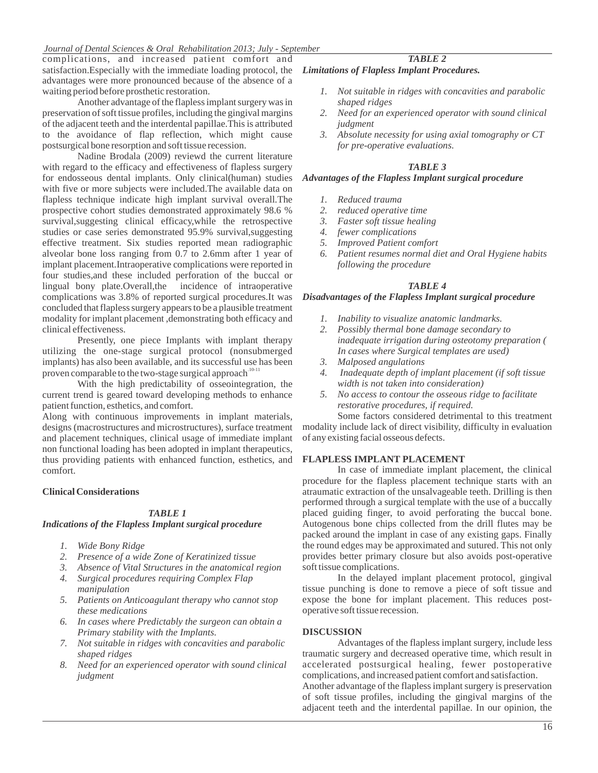#### *Journal of Dental Sciences & Oral Rehabilitation 2013; July - September*

complications, and increased patient comfort and satisfaction.Especially with the immediate loading protocol, the advantages were more pronounced because of the absence of a waiting period before prosthetic restoration.

Another advantage of the flapless implant surgery was in preservation of soft tissue profiles, including the gingival margins of the adjacent teeth and the interdental papillae.This is attributed to the avoidance of flap reflection, which might cause postsurgical bone resorption and soft tissue recession.

Nadine Brodala (2009) reviewd the current literature with regard to the efficacy and effectiveness of flapless surgery for endosseous dental implants. Only clinical(human) studies with five or more subjects were included. The available data on<br>flapless technique indicate high implant survival overall. The *I. Reduced trauma* flapless technique indicate high implant survival overall.The prospective cohort studies demonstrated approximately 98.6 % survival, suggesting clinical efficacy, while the retrospective 3. studies or case series demonstrated 95.9% survival, suggesting 4. effective treatment. Six studies reported mean radiographic alveolar bone loss ranging from 0.7 to 2.6mm after 1 year of implant placement.Intraoperative complications were reported in four studies,and these included perforation of the buccal or lingual bony plate.Overall,the incidence of intraoperative complications was 3.8% of reported surgical procedures.It was concluded that flapless surgery appears to be a plausible treatment modality for implant placement ,demonstrating both efficacy and clinical effectiveness.

Presently, one piece Implants with implant therapy utilizing the one-stage surgical protocol (nonsubmerged implants) has also been available, and its successful use has been  $\frac{3}{2}$ . proven comparable to the two-stage surgical approach<sup>10-11</sup>

With the high predictability of osseointegration, the current trend is geared toward developing methods to enhance 5. patient function, esthetics, and comfort.

Along with continuous improvements in implant materials, designs (macrostructures and microstructures), surface treatment and placement techniques, clinical usage of immediate implant non functional loading has been adopted in implant therapeutics, thus providing patients with enhanced function, esthetics, and comfort.

#### **Clinical Considerations**

#### *TABLE 1*

#### *Indications of the Flapless Implant surgical procedure*

- 
- *1. Wide Bony Ridge*
- **2. Presence of the Flapless Implant surgical procedure**<br>
2. Wide Bony Ridge<br>
2. Presence of a wide Zone of Keratinized tissue<br>
3. Absence of Vital Structures in the anatomical region<br>
2. Presence of Vital Structures in th
- **3. Absence of the Flapless Implant surgical procedure**<br> **3.** Absence of a wide Zone of Keratinized tissue<br>
3. Absence of Vital Structures in the anatomical region<br>
3. Absence of Vital Structures in the anatomical region s **1.** Wide Bony Ridge<br>
2. Presence of a wide Zone of Keratinized tissue<br>
2. Presence of a wide Zone of Keratinized tissue<br>
3. Absence of Vital Structures in the anatomical region<br>
4. Surgical procedures requiring Complex Fl *manipulation*
- *Fresence of a wide Zone of Keratinized tissue*<br> **5.** *Absence of Vital Structures in the anatomical region* sof<br> **4.** *Surgical procedures requiring Complex Flap*<br> *manipulation* tiss<br> **5.** *Patients on Anticoagulant ther these medications Fiamer 4. Surgical procedures requiring Complex Flap<br>
manipulation*<br> *5. Patients on Anticoagulant therapy who cannot stop*<br> *fhese medications*<br> *6. In cases where Predictably the surgeon can obtain a*
- *Primary stability with the Implants.*
- *7. Not suitable in ridges with concavities and parabolic shaped ridges*
- *8. Need for an experienced operator with sound clinical judgment*

#### *Limitations of Flapless Implant Procedures.*

*1. 1. 1. Inspect 3.1. Table 2.<br>
1. Not suitable in ridges with concavities and parabolic<br>
1. Not suitable in ridges with concavities and parabolic<br>
2. Nead for a sumarianced an antensuith sound eliminal shaped ridges*

*TABLE 2*

- *2. Itations of Flapless Implant Procedures.*<br>
2. Not suitable in ridges with concavities and parabolic<br>
2. Need for an experienced operator with sound clinical<br> *2. Need for an experienced operator with sound clinical*<br> *judgment*<br>Absolute necessity for using axial tomography or CT *3. Not suitable in ridges with concavities and parabolic shaped ridges*<br>
2. Need for an experienced operator with sound clinical judgment<br>
3. Absolute necessity for using axial tomography or CT<br>
for pre-operative evaluati
- *for pre-operative evaluations. 1. For pre-operative evaluati*<br>**1.** *Reduced trauma*<br>2. *Reduced trauma*<br>2. *reduced operative time*<br>*Packing Facking hading*

#### *TABLE 3*

## *Advantages of the Flapless Implant surgical procedure 2. reduced operative time 3. FABLE 3*<br>*3. Faster soft the Flapless Implant surgic<br>
1. Reduced trauma***<br>
2.** *Faster soft tissue healing***<br>
4.** *fewer complications Attages of the Flapless Implant*<br>
1. Reduced trauma<br>
2. reduced operative time<br>
3. Faster soft tissue healing<br>
4. fewer complications<br>
5. Improved Patient comfort<br>
2. Particular Patient Comfort

- 
- 
- 
- 
- 
- **5.** Faster soft tissue healing<br> **4.** fewer complications<br> **5.** Improved Patient comfort<br> **6.** Patient resumes normal diet and Oral Hygiene habits 1. Reduced trauma<br>
2. reduced operative time<br>
3. Faster soft tissue healing<br>
4. fewer complications<br>
5. Improved Patient comfort<br>
6. Patient resumes normal diet and Oral Hygiene habits<br>
following the procedure *following the procedure*

#### *TABLE 4*

#### *Disadvantages of the Flapless Implant surgical procedure*

- 
- *1. Inability to visualize anatomic method in the Flapless Implant surgical proced*<br>*1. Inability to visualize anatomic landmarks.*<br>2. Possibly thermal bone damage secondary to inspirational bone damage secondary to *2. Possibly the Flapless Implant surgical procedure<br> 2. Inability to visualize anatomic landmarks.<br>
2. Possibly thermal bone damage secondary to<br>
inadequate irrigation during osteotomy preparation ( inadequate irrigation during osteotomy preparation ( In cases where Surgical templates are used) 1. Inability to visualize anatomic landmarks.*<br>
2. Possibly thermal bone damage secondary to<br>
inadequate irrigation during osteotomy preparation (<br> *In cases where Surgical templates are used)*<br>
3. Malposed angulations<br> *1.* Inability to visualize anatomic landmarks.<br>
2. Possibly thermal bone damage secondary to<br>
inadequate irrigation during osteotomy preparation (<br> *In* cases where Surgical templates are used)<br>
3. Malposed angulations<br>
4
- 
- *width is not taken into consideration)*
- *inadequate irrigation during osteotomy preparation (*<br> *In cases where Surgical templates are used)*<br>
3. Malposed angulations<br>
4. Inadequate depth of implant placement (if soft tissue<br>
width is not taken into consideratio *restorative procedures, if required.*

Some factors considered detrimental to this treatment modality include lack of direct visibility, difficulty in evaluation of any existing facial osseous defects.

#### **FLAPLESS IMPLANT PLACEMENT**

In case of immediate implant placement, the clinical procedure for the flapless placement technique starts with an atraumatic extraction of the unsalvageable teeth. Drilling is then performed through a surgical template with the use of a buccally placed guiding finger, to avoid perforating the buccal bone. Autogenous bone chips collected from the drill flutes may be packed around the implant in case of any existing gaps. Finally the round edges may be approximated and sutured. This not only provides better primary closure but also avoids post-operative soft tissue complications.

In the delayed implant placement protocol, gingival tissue punching is done to remove a piece of soft tissue and expose the bone for implant placement. This reduces postoperative soft tissue recession.

#### **DISCUSSION**

Advantages of the flapless implant surgery, include less traumatic surgery and decreased operative time, which result in accelerated postsurgical healing, fewer postoperative complications, and increased patient comfort and satisfaction.

Another advantage of the flapless implant surgery is preservation of soft tissue profiles, including the gingival margins of the adjacent teeth and the interdental papillae. In our opinion, the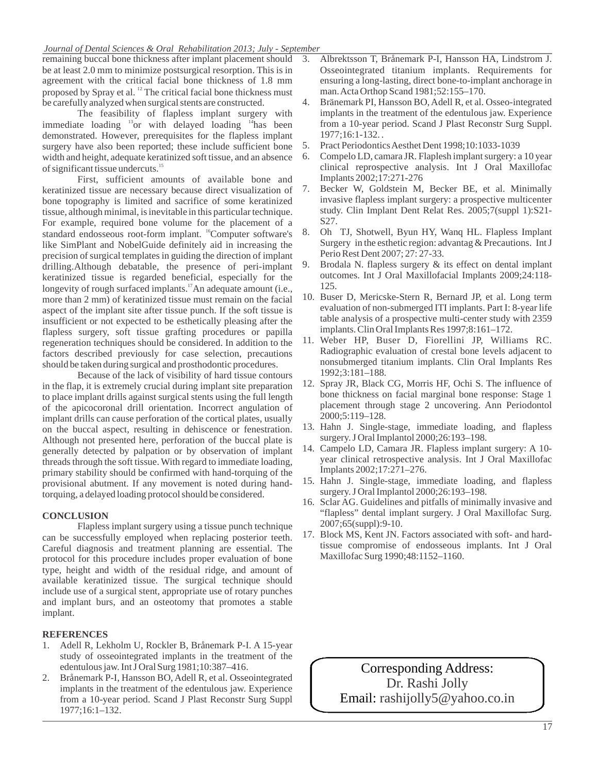#### *Journal of Dental Sciences & Oral Rehabilitation 2013; July - September*

remaining buccal bone thickness after implant placement should 3. be at least 2.0 mm to minimize postsurgical resorption. This is in agreement with the critical facial bone thickness of 1.8 mm proposed by Spray et al. <sup>12</sup> The critical facial bone thickness must be carefully analyzed when surgical stents are constructed.

The feasibility of flapless implant surgery with immediate loading  $^{13}$ or with delayed loading  $^{14}$ has been demonstrated. However, prerequisites for the flapless implant survery have also been reported: these include sufficient bone 5. surgery have also been reported; these include sufficient bone 5. Pract Periodontics Aesthet Dent 1998;10:1033-1039 width and height, adequate keratinized soft tissue, and an absence 6. Compelo LD, camara JR. Flaplesh impl width and height, adequate keratinized soft tissue, and an absence 6. of significant tissue undercuts. 15 when surgical stents are constructed.<br>
lity of flapless implant surgery<br>
<sup>13</sup> or with delayed loading <sup>14</sup> has

First, sufficient amounts of available bone and<br>ed tissue are necessary because direct visualization of 7. keratinized tissue are necessary because direct visualization of bone topography is limited and sacrifice of some keratinized tissue, although minimal, is inevitable in this particular technique. For example, required bone volume for the placement of a<br>standard endosseous root-form implant <sup>16</sup>Computer software's 8. Oh TJ, Shotwell, Byun HY, Wang HL, Flapless Implant standard endosseous root-form implant.  $^{16}$ Computer software's  $8$ . like SimPlant and NobelGuide definitely aid in increasing the precision of surgical templates in guiding the direction of implant drilling.Although debatable, the presence of peri-implant 9. keratinized tissue is regarded beneficial, especially for the standard endosseous root-form implant. <sup>16</sup>Computer software's 8.<br>like SimPlant and NobelGuide definitely aid in increasing the<br>precision of surgical templates in guiding the direction of implant<br>drilling. Although debata more than 2 mm) of keratinized tissue must remain on the facial aspect of the implant site after tissue punch. If the soft tissue is insufficient or not expected to be esthetically pleasing after the flapless surgery, soft tissue grafting procedures or papilla regeneration techniques should be considered. In addition to the factors described previously for case selection, precautions should be taken during surgical and prosthodontic procedures. longevity of rough surfaced implants.<sup>17</sup>An adequate amount (i.e.,

Because of the lack of visibility of hard tissue contours<br>p. it is extremely crucial during implant site preparation 12. Spray JR, Black CG, Morris HF, Ochi S. The influence of in the flap, it is extremely crucial during implant site preparation to place implant drills against surgical stents using the full length of the apicocoronal drill orientation. Incorrect angulation of implant drills can cause perforation of the cortical plates, usually  $\frac{2000;5:119-128}{2000;5:119-128}$ . on the buccal aspect, resulting in dehiscence or fenestration. Although not presented here, perforation of the buccal plate is surgery. J Oral Implantol 2000;26:193–198.<br>
generally detected by palpation or by observation of implant 14. Campelo LD, Camara JR. Flapless implant surgery: generally detected by palpation or by observation of implant threads through the soft tissue. With regard to immediate loading, primary stability should be confirmed with hand-torquing of the provisional abutment. If any movement is noted during handtorquing, a delayed loading protocol should be considered.

#### **CONCLUSION**

Flapless implant surgery using a tissue punch technique can be successfully employed when replacing posterior teeth. Careful diagnosis and treatment planning are essential. The protocol for this procedure includes proper evaluation of bone type, height and width of the residual ridge, and amount of available keratinized tissue. The surgical technique should include use of a surgical stent, appropriate use of rotary punches<br>
and implant<br> **REFERENCES**<br>
1. Adell R, Lekholm U, Rockler B, Brånemark P-I. A 15-year<br>
study of osseointegrated implants in the treatment of the<br>
resoluti and implant burs, and an osteotomy that promotes a stable implant.

#### **REFERENCES**

- study of osseointegrated implants in the treatment of the edentulous jaw. Int J Oral Surg 1981;10:387–416. **REFERENCES**<br>
1. Adell R, Lekholm U, Rockler B, Brånemark P-I. A 15-year<br>
study of osseointegrated implants in the treatment of the<br>
edentulous jaw. Int J Oral Surg 1981;10:387–416.<br>
2. Brånemark P-I, Hansson BO, Adell R,
- implants in the treatment of the edentulous jaw. Experience from a 10-year period. Scand J Plast Reconstr Surg Suppl 1977;16:1–132.
- 3. Albrektsson T, Brånemark P-I, Hansson HA, Lindstrom J. Osseointegrated titanium implants. Requirements for ensuring a long-lasting, direct bone-to-implant anchorage in man. Acta Orthop Scand 1981;52:155–170. mber<br>
3. Albrektsson T, Brånemark P-I, Hansson HA, Lindstrom J.<br>
0sseointegrated titanium implants. Requirements for<br>
ensuring a long-lasting, direct bone-to-implant anchorage in<br>
man. Acta Orthop Scand 1981;52:155–170.<br>
4
- implants in the treatment of the edentulous jaw. Experience from a 10-year period. Scand J Plast Reconstr Surg Suppl. 1977;16:1-132. . man. Acta Orthop Scand 1981;52:155–170.<br>4. Bränemark PI, Hansson BO, Adell R, et al. Osseo-integrated<br>implants in the treatment of the edentulous jaw. Experience<br>from a 10-year period. Scand J Plast Reconstr Surg Suppl.<br>19 4. Bränemark PI, Hansson BO, Adell R, et al. Osseo-integrated<br>implants in the treatment of the edentulous jaw. Experience<br>from a 10-year period. Scand J Plast Reconstr Surg Suppl.<br>1977;16:1-132..<br>5. Pract Periodontics Aest
- 
- clinical reprospective analysis. Int J Oral Maxillofac Implants 2002;17:271-276 1977;16:1-132..<br>
5. Pract Periodontics Aesthet Dent 1998;10:1033-1039<br>
6. Compelo LD, camara JR. Flaplesh implant surgery: a 10 year<br>
clinical reprospective analysis. Int J Oral Maxillofac<br>
Implants 2002;17:271-276<br>
7. Bec
- invasive flapless implant surgery: a prospective multicenter S27. Becker W, Goldstein M, Becker BE, et al. Minimally
- study. Clin Implant Dent Relat Res. 2005;7(suppl 1):S21-<br>
S27.<br>
8. Oh TJ, Shotwell, Byun HY, Wanq HL. Flapless Implant<br>
Surgery in the esthetic region: advantag & Precautions. Int J<br>
Perio Rest Dent 2007; 27: 27-33.<br>
9. Br Surgery in the esthetic region: advantag & Precautions. Int J Perio Rest Dent 2007; 27: 27-33.
- outcomes. Int J Oral Maxillofacial Implants 2009;24:118- 125. Surgery in the esthetic region: advantag & Precautions. Int J<br>Perio Rest Dent 2007; 27: 27-33.<br>9. Brodala N. flapless surgery & its effect on dental implant<br>outcomes. Int J Oral Maxillofacial Implants 2009;24:118-<br>125.<br>10.
- evaluation of non-submerged ITI implants. Part I: 8-year life table analysis of a prospective multi-center study with 2359 implants. Clin Oral Implants Res 1997;8:161–172. 10. Buser D, Mericske-Stern R, Bernard JP, et al. Long term
- Radiographic evaluation of crestal bone levels adjacent to nonsubmerged titanium implants. Clin Oral Implants Res 1992;3:181–188. 11. Weber HP, Buser D, Fiorellini JP, Williams RC.
- bone thickness on facial marginal bone response: Stage 1 placement through stage 2 uncovering. Ann Periodontol 2000;5:119–128. 1992;3:181–188.<br>
12. Spray JR, Black CG, Morris HF, Ochi S. The influence of<br>
bone thickness on facial marginal bone response: Stage 1<br>
placement through stage 2 uncovering. Ann Periodontol<br>
2000;5:119–128.<br>
13. Hahn J. Si bone thickness on facial marginal bone response: Stage 1<br>placement through stage 2 uncovering. Ann Periodontol<br>2000;5:119–128.<br>13. Hahn J. Single-stage, immediate loading, and flapless<br>surgery. J Oral Implantol 2000;26:193
- surgery. J Oral Implantol 2000;26:193–198.
- Implants 2002;17:271–276. 13. Hahn J. Single-stage, immediate loading, and flapless<br>surgery. J Oral Implantol 2000;26:193–198.<br>14. Campelo LD, Camara JR. Flapless implant surgery: A 10-<br>year clinical retrospective analysis. Int J Oral Maxillofac<br>Im 14. Campelo LD, Camara JR. Flapless implant surgery: A 10-<br>year clinical retrospective analysis. Int J Oral Maxillofac<br>Implants 2002;17:271–276.<br>15. Hahn J. Single-stage, immediate loading, and flapless<br>surgery. J Oral Imp
- surgery. J Oral Implantol 2000;26:193–198.
- "flapless" dental implant surgery. J Oral Maxillofac Surg. 2007;65(suppl):9-10. 16. Sclar AG. Guidelines and pitfalls of minimally invasive and "flapless" dental implant surgery. J Oral Maxillofac Surg.<br>2007;65(suppl):9-10.<br>17. Block MS, Kent JN. Factors associated with soft- and hard-
- tissue compromise of endosseous implants. Int J Oral Maxillofac Surg 1990;48:1152–1160.

**Corresponding Address:** Corresponding Address: **Email: rashijolly5@yahoo.co.in** Dr. Rashi Jolly